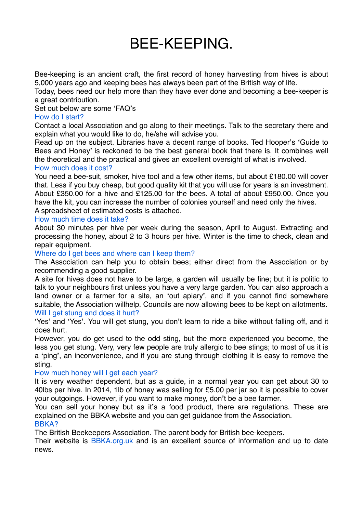# BEE-KEEPING.

Bee-keeping is an ancient craft, the first record of honey harvesting from hives is about 5,000 years ago and keeping bees has always been part of the British way of life.

Today, bees need our help more than they have ever done and becoming a bee-keeper is a great contribution.

Set out below are some **'**FAQ**'**s

### How do I start?

Contact a local Association and go along to their meetings. Talk to the secretary there and explain what you would like to do, he/she will advise you.

Read up on the subject. Libraries have a decent range of books. Ted Hooper**'**s **'**Guide to Bees and Honey**'** is reckoned to be the best general book that there is. It combines well the theoretical and the practical and gives an excellent oversight of what is involved.

#### How much does it cost?

You need a bee-suit, smoker, hive tool and a few other items, but about £180.00 will cover that. Less if you buy cheap, but good quality kit that you will use for years is an investment. About £350.00 for a hive and £125.00 for the bees. A total of about £950.00. Once you have the kit, you can increase the number of colonies yourself and need only the hives. A spreadsheet of estimated costs is attached.

#### How much time does it take?

About 30 minutes per hive per week during the season, April to August. Extracting and processing the honey, about 2 to 3 hours per hive. Winter is the time to check, clean and repair equipment.

Where do I get bees and where can I keep them?

The Association can help you to obtain bees; either direct from the Association or by recommending a good supplier.

A site for hives does not have to be large, a garden will usually be fine; but it is politic to talk to your neighbours first unless you have a very large garden. You can also approach a land owner or a farmer for a site, an **'**out apiary**'**, and if you cannot find somewhere suitable, the Association willhelp. Councils are now allowing bees to be kept on allotments. Will I get stung and does it hurt?

**'**Yes**'** and **'**Yes**'**. You will get stung, you don**'**t learn to ride a bike without falling off, and it does hurt.

However, you do get used to the odd sting, but the more experienced you become, the less you get stung. Very, very few people are truly allergic to bee stings; to most of us it is a **'**ping**'**, an inconvenience, and if you are stung through clothing it is easy to remove the sting.

#### How much honey will I get each year?

It is very weather dependent, but as a guide, in a normal year you can get about 30 to 40lbs per hive. In 2014, 1lb of honey was selling for £5.00 per jar so it is possible to cover your outgoings. However, if you want to make money, don**'**t be a bee farmer.

You can sell your honey but as it**'**s a food product, there are regulations. These are explained on the BBKA website and you can get guidance from the Association. BBKA?

## The British Beekeepers Association. The parent body for British bee-keepers.

Their website is **BBKA.org.uk** and is an excellent source of information and up to date news.